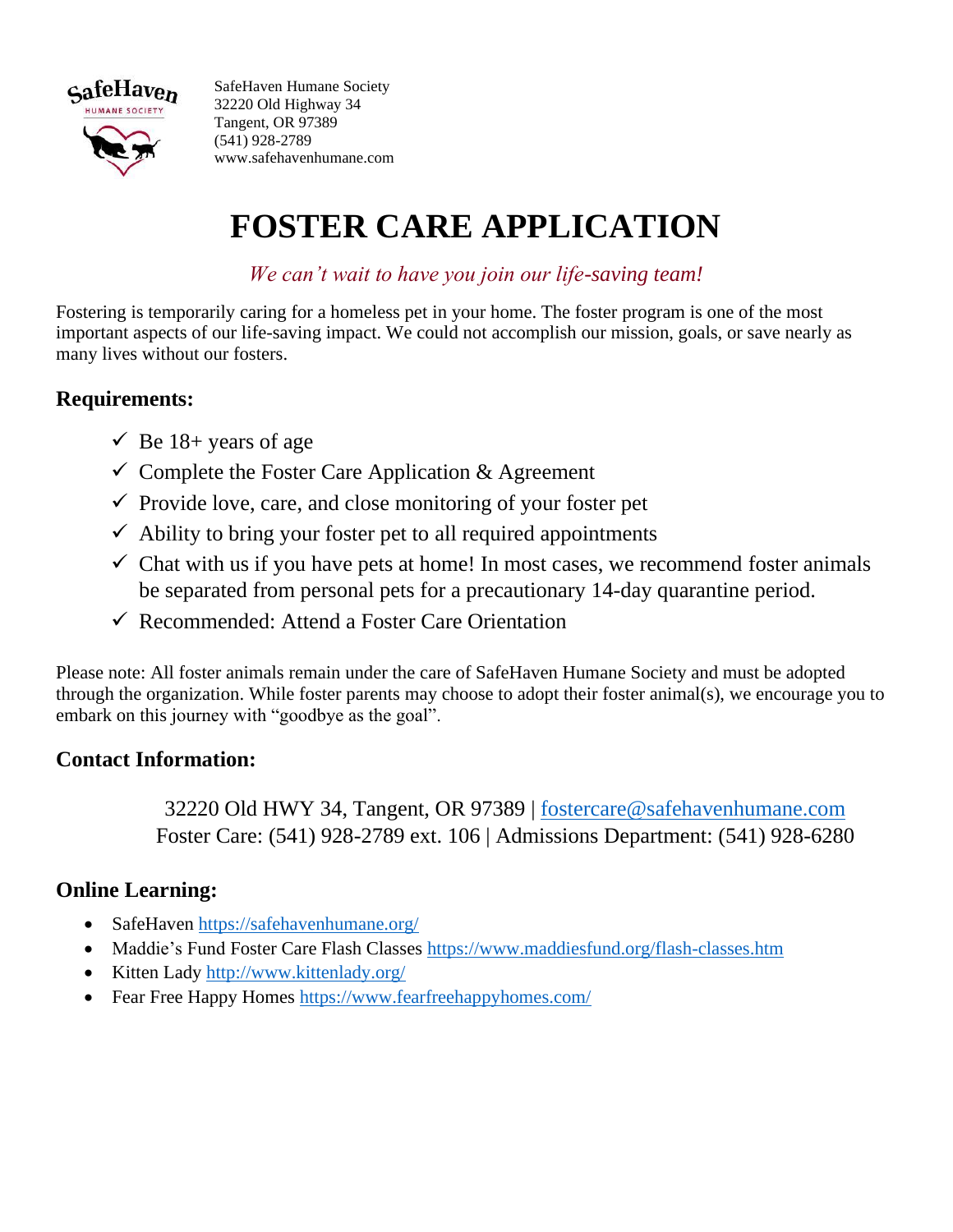

SafeHaven Humane Society 32220 Old Highway 34 Tangent, OR 97389 (541) 928-2789 www.safehavenhumane.com

# **FOSTER CARE APPLICATION**

*We can't wait to have you join our life-saving team!*

Fostering is temporarily caring for a homeless pet in your home. The foster program is one of the most important aspects of our life-saving impact. We could not accomplish our mission, goals, or save nearly as many lives without our fosters.

### **Requirements:**

- $\checkmark$  Be 18+ years of age
- $\checkmark$  Complete the Foster Care Application & Agreement
- $\checkmark$  Provide love, care, and close monitoring of your foster pet
- $\checkmark$  Ability to bring your foster pet to all required appointments
- $\checkmark$  Chat with us if you have pets at home! In most cases, we recommend foster animals be separated from personal pets for a precautionary 14-day quarantine period.
- ✓ Recommended: Attend a Foster Care Orientation

Please note: All foster animals remain under the care of SafeHaven Humane Society and must be adopted through the organization. While foster parents may choose to adopt their foster animal(s), we encourage you to embark on this journey with "goodbye as the goal".

### **Contact Information:**

32220 Old HWY 34, Tangent, OR 97389 | [fostercare@safehavenhumane.com](mailto:fostercare@safehavenhumane.com) Foster Care: (541) 928-2789 ext. 106 | Admissions Department: (541) 928-6280

#### **Online Learning:**

- SafeHaven<https://safehavenhumane.org/>
- Maddie's Fund Foster Care Flash Classes<https://www.maddiesfund.org/flash-classes.htm>
- Kitten Lady<http://www.kittenlady.org/>
- Fear Free Happy Homes<https://www.fearfreehappyhomes.com/>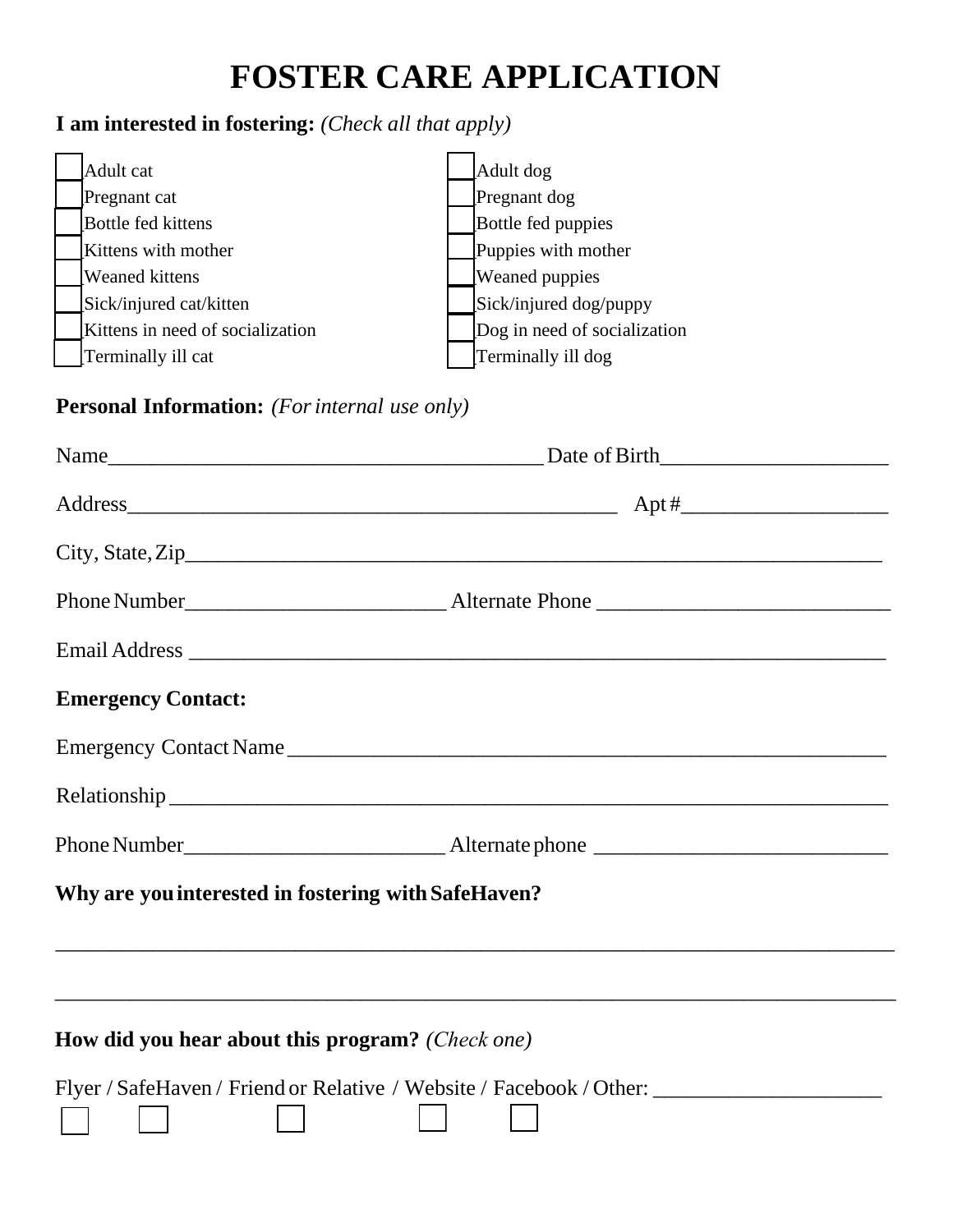## **FOSTER CARE APPLICATION**

### **I am interested in fostering:** *(Check all that apply)*

| Adult cat                        | Adult dog                    |
|----------------------------------|------------------------------|
| Pregnant cat                     | Pregnant dog                 |
| <b>Bottle fed kittens</b>        | Bottle fed puppies           |
| Kittens with mother              | Puppies with mother          |
| Weaned kittens                   | <b>Weaned</b> puppies        |
| Sick/injured cat/kitten          | Sick/injured dog/puppy       |
| Kittens in need of socialization | Dog in need of socialization |
| Terminally ill cat               | Terminally ill dog           |

### **Personal Information:** *(For internal use only)*

| <b>Emergency Contact:</b>                               |                                                                                                                       |
|---------------------------------------------------------|-----------------------------------------------------------------------------------------------------------------------|
|                                                         | Emergency Contact Name                                                                                                |
|                                                         |                                                                                                                       |
|                                                         |                                                                                                                       |
| Why are you interested in fostering with SafeHaven?     |                                                                                                                       |
|                                                         | <u> 1989 - Jan James James James James James James James James James James James James James James James James Ja</u> |
|                                                         |                                                                                                                       |
| <b>How did you hear about this program?</b> (Check one) |                                                                                                                       |
|                                                         | Flyer / SafeHaven / Friend or Relative / Website / Facebook / Other: _______________________________                  |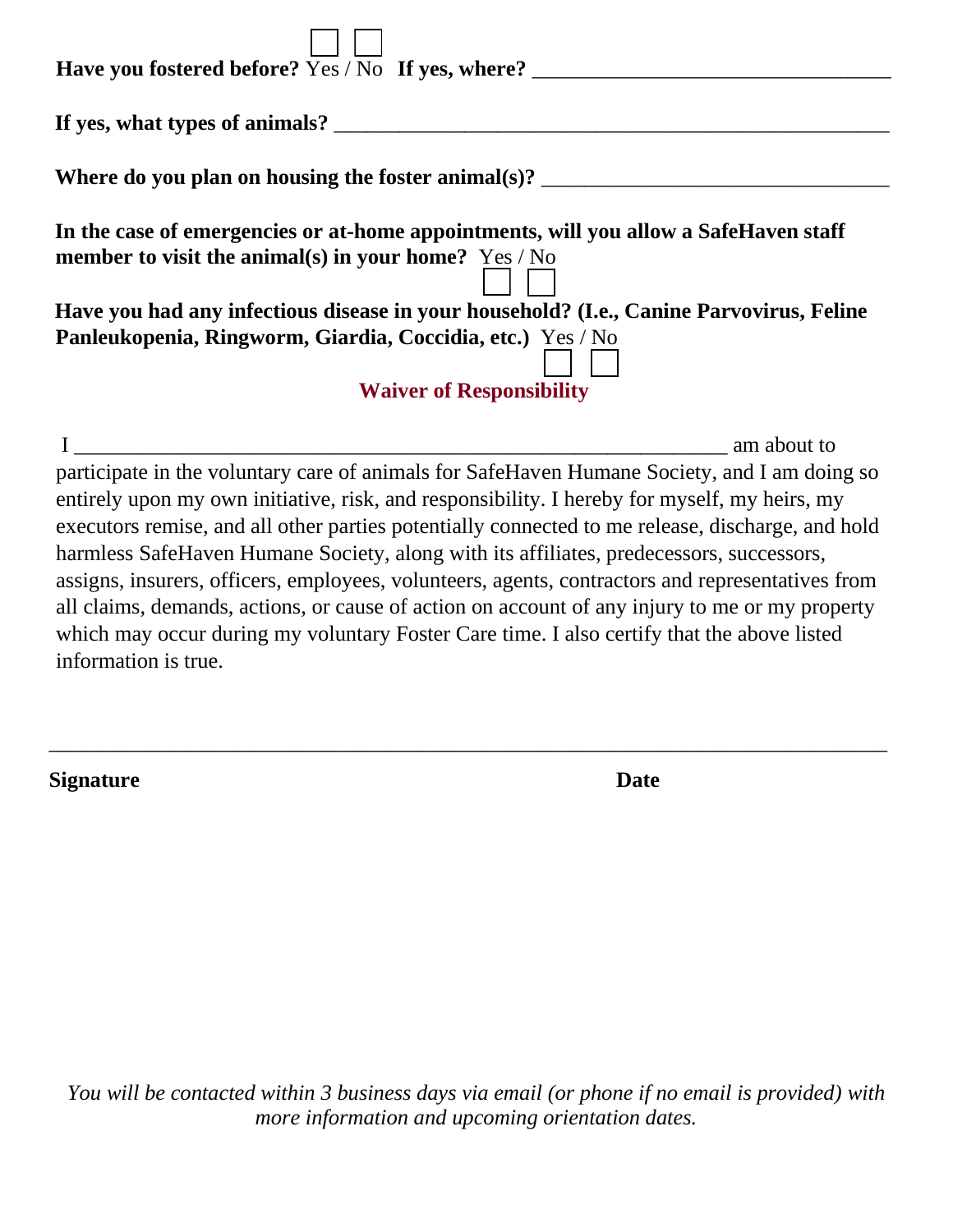| Have you fostered before? Yes / No If yes, where? _______                                                                                                                                                                                                                                                                                                                             |
|---------------------------------------------------------------------------------------------------------------------------------------------------------------------------------------------------------------------------------------------------------------------------------------------------------------------------------------------------------------------------------------|
|                                                                                                                                                                                                                                                                                                                                                                                       |
| Where do you plan on housing the foster animal(s)? $\frac{1}{\sqrt{1-\frac{1}{\sqrt{1-\frac{1}{\sqrt{1-\frac{1}{\sqrt{1-\frac{1}{\sqrt{1-\frac{1}{\sqrt{1-\frac{1}{\sqrt{1-\frac{1}{\sqrt{1-\frac{1}{\sqrt{1-\frac{1}{\sqrt{1-\frac{1}{\sqrt{1-\frac{1}{\sqrt{1-\frac{1}{\sqrt{1-\frac{1}{\sqrt{1-\frac{1}{\sqrt{1-\frac{1}{\sqrt{1-\frac{1}{\sqrt{1-\frac{1}{\sqrt{1-\frac{1}{\sqrt$ |
| In the case of emergencies or at-home appointments, will you allow a SafeHaven staff                                                                                                                                                                                                                                                                                                  |
| member to visit the animal(s) in your home? $Yes / No$                                                                                                                                                                                                                                                                                                                                |
| Have you had any infectious disease in your household? (I.e., Canine Parvovirus, Feline                                                                                                                                                                                                                                                                                               |
| Panleukopenia, Ringworm, Giardia, Coccidia, etc.) Yes / No                                                                                                                                                                                                                                                                                                                            |
| <b>Waiver of Responsibility</b>                                                                                                                                                                                                                                                                                                                                                       |
| am about to                                                                                                                                                                                                                                                                                                                                                                           |
| participate in the voluntary care of animals for SafeHaven Humane Society, and I am doing so                                                                                                                                                                                                                                                                                          |
| entirely upon my own initiative, risk, and responsibility. I hereby for myself, my heirs, my                                                                                                                                                                                                                                                                                          |
| executors remise, and all other parties potentially connected to me release, discharge, and hold                                                                                                                                                                                                                                                                                      |
| harmless SafeHaven Humane Society, along with its affiliates, predecessors, successors,                                                                                                                                                                                                                                                                                               |
| assigns, insurers, officers, employees, volunteers, agents, contractors and representatives from                                                                                                                                                                                                                                                                                      |

all claims, demands, actions, or cause of action on account of any injury to me or my property which may occur during my voluntary Foster Care time. I also certify that the above listed information is true.

\_\_\_\_\_\_\_\_\_\_\_\_\_\_\_\_\_\_\_\_\_\_\_\_\_\_\_\_\_\_\_\_\_\_\_\_\_\_\_\_\_\_\_\_\_\_\_\_\_\_\_\_\_\_\_\_\_\_\_\_\_\_\_\_\_\_\_\_\_\_\_\_\_\_\_\_\_

**Signature** Date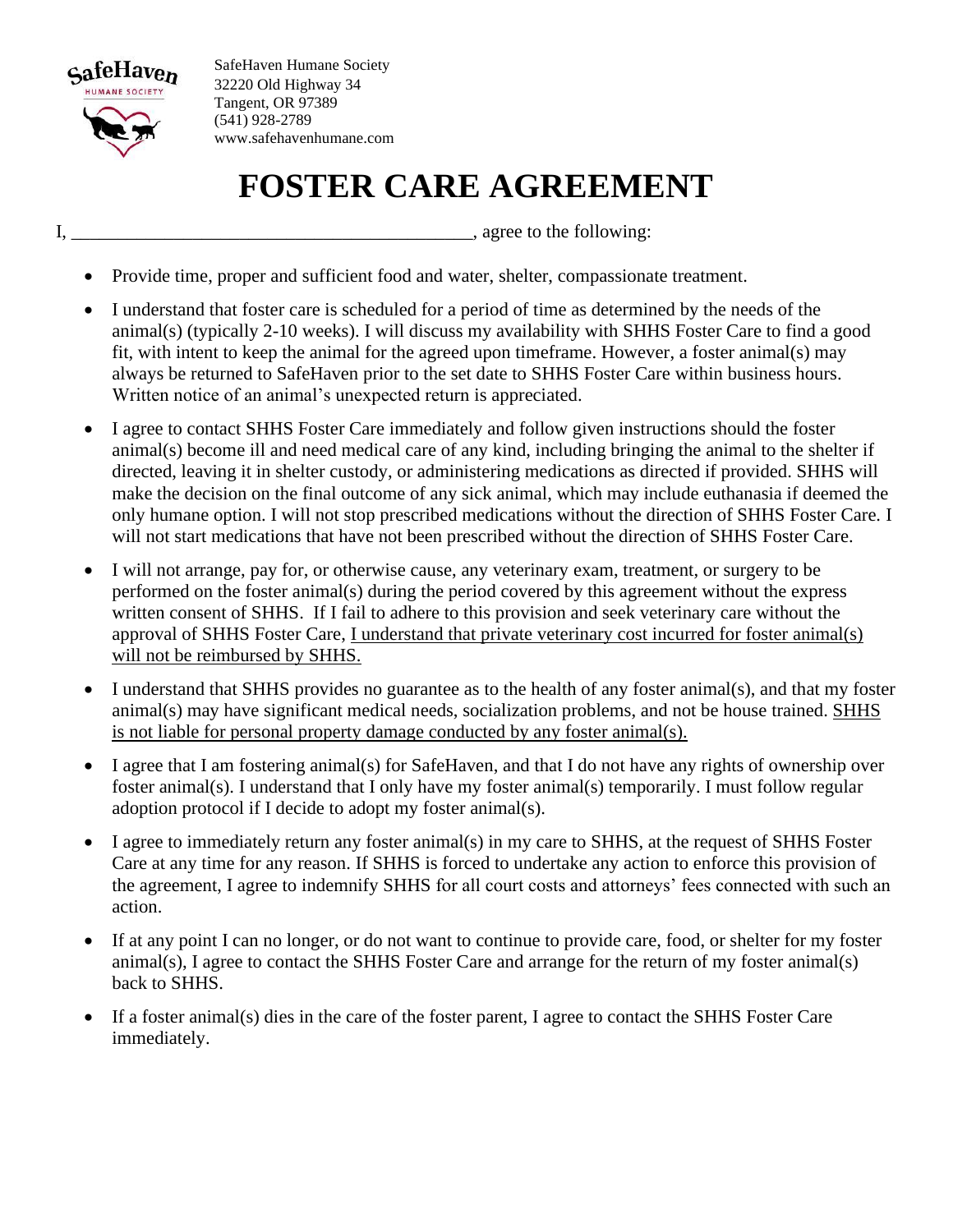

SafeHaven Humane Society 32220 Old Highway 34 Tangent, OR 97389 (541) 928-2789 www.safehavenhumane.com

## **FOSTER CARE AGREEMENT**

I, the following:  $\Box$ 

- Provide time, proper and sufficient food and water, shelter, compassionate treatment.
- I understand that foster care is scheduled for a period of time as determined by the needs of the animal(s) (typically 2-10 weeks). I will discuss my availability with SHHS Foster Care to find a good fit, with intent to keep the animal for the agreed upon timeframe. However, a foster animal(s) may always be returned to SafeHaven prior to the set date to SHHS Foster Care within business hours. Written notice of an animal's unexpected return is appreciated.
- I agree to contact SHHS Foster Care immediately and follow given instructions should the foster animal(s) become ill and need medical care of any kind, including bringing the animal to the shelter if directed, leaving it in shelter custody, or administering medications as directed if provided. SHHS will make the decision on the final outcome of any sick animal, which may include euthanasia if deemed the only humane option. I will not stop prescribed medications without the direction of SHHS Foster Care. I will not start medications that have not been prescribed without the direction of SHHS Foster Care.
- I will not arrange, pay for, or otherwise cause, any veterinary exam, treatment, or surgery to be performed on the foster animal(s) during the period covered by this agreement without the express written consent of SHHS. If I fail to adhere to this provision and seek veterinary care without the approval of SHHS Foster Care, I understand that private veterinary cost incurred for foster animal(s) will not be reimbursed by SHHS.
- I understand that SHHS provides no guarantee as to the health of any foster animal(s), and that my foster animal(s) may have significant medical needs, socialization problems, and not be house trained. SHHS is not liable for personal property damage conducted by any foster animal(s).
- I agree that I am fostering animal(s) for SafeHaven, and that I do not have any rights of ownership over foster animal(s). I understand that I only have my foster animal(s) temporarily. I must follow regular adoption protocol if I decide to adopt my foster animal(s).
- I agree to immediately return any foster animal(s) in my care to SHHS, at the request of SHHS Foster Care at any time for any reason. If SHHS is forced to undertake any action to enforce this provision of the agreement, I agree to indemnify SHHS for all court costs and attorneys' fees connected with such an action.
- If at any point I can no longer, or do not want to continue to provide care, food, or shelter for my foster animal(s), I agree to contact the SHHS Foster Care and arrange for the return of my foster animal(s) back to SHHS.
- If a foster animal(s) dies in the care of the foster parent, I agree to contact the SHHS Foster Care immediately.